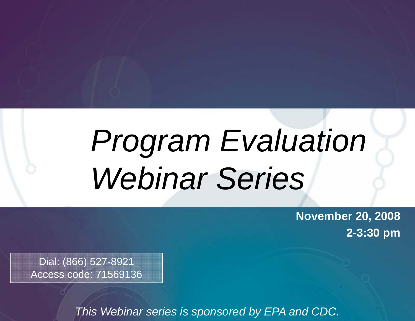# *Program Evaluation Webinar Series*

**November 20, 2008 2-3:30 pm**

Dial: (866) 527-8921 Access code: 71569136

*This Webinar series is sponsored by EPA and CDC.*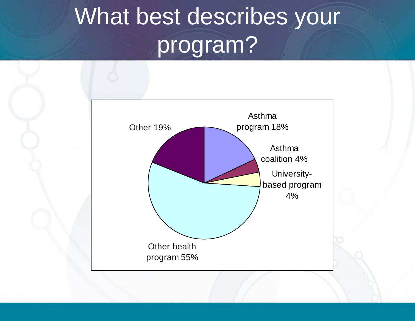#### What best describes your program ?

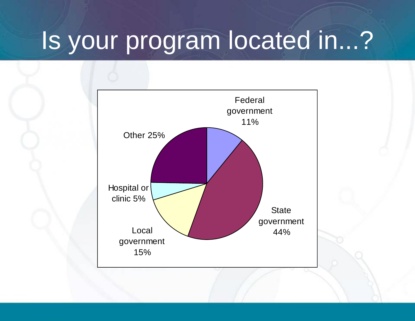# Is your program located in...?

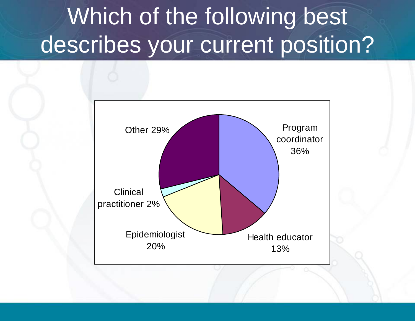# Which of the following best describes your current position?

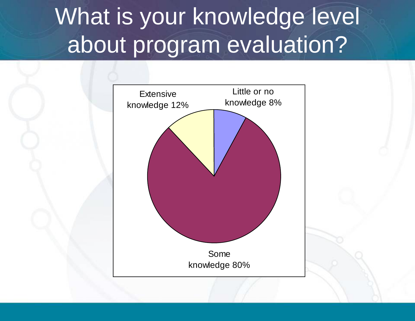# What is your knowledge level about program evaluation?

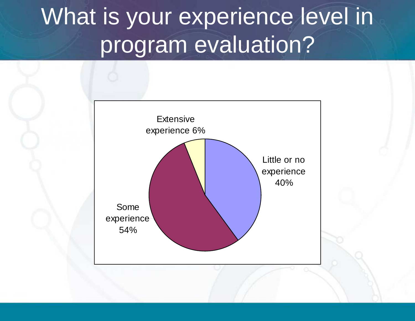# What is your experience level in program evaluation?

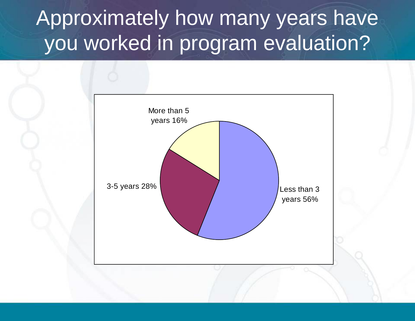# Approximately how many years have you worked in program evaluation?

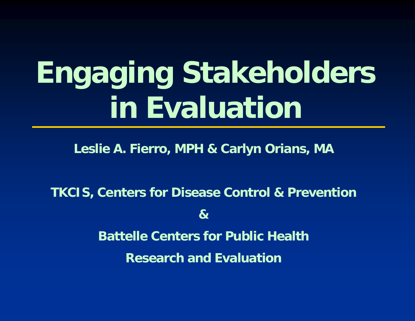# **Engaging Stakeholders in Evaluation**

**Leslie A. Fierro, MPH & Carlyn Orians, MA**

**TKCIS, Centers for Disease Control & Prevention &Battelle Centers for Public Health for Public Research and Evaluation**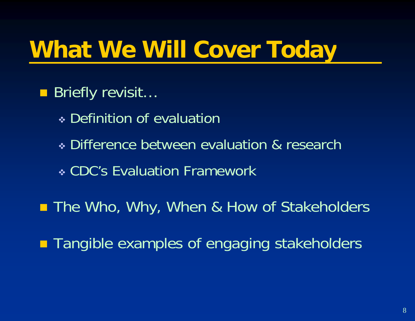#### **What We Will Cover Toda y**

- Briefly revisit...
	- Definition of evaluation
	- Difference between evaluation & research
	- CDC's Evaluation Framework
- **E** The Who, Why, When & How of Stakeholders
- **Tangible examples of engaging stakeholders**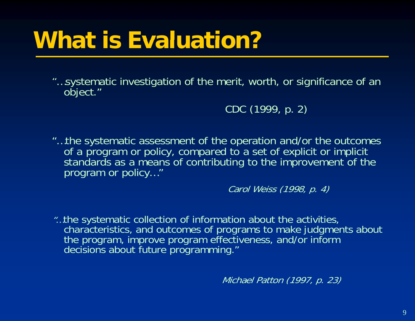# **What is Evaluation?**

""...systematic investigation of the merit, worth, or significance of an object."

CDC (1999, p. 2)

"…the systematic assessment of the operation and/or the outcomes of a program or policy, compared to a set of explicit or implicit standards as <sup>a</sup> means of contributing to the improvement of the program or policy…"

Carol Weiss (1998, p. 4)

"…the systematic collection of information about the activities, characteristics, and outcomes of programs to make judgments about the program, improve program effectiveness, and/or inform decisions about future programming."

Michael Patton (1997, p. 23)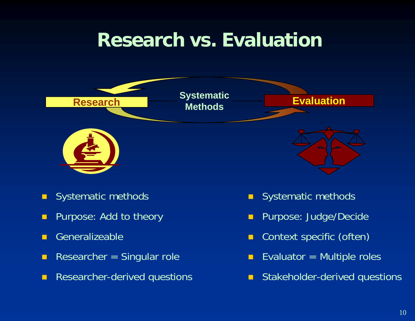### **Research vs.** Evaluation



- $\blacksquare$ Systematic methods
- П Purpose: Add to theory
- П
- $\blacksquare$ Researcher = Singular role
- $\blacksquare$ **Researcher-derived questions**
- $\blacksquare$ S ystematic methods
- П Purpose: Judge/Decide
- п **n** Generalizeable **Context specific (often)** 
	- П Evaluator  $=$  Multiple roles
	- П **E** Stakeholder-derived questions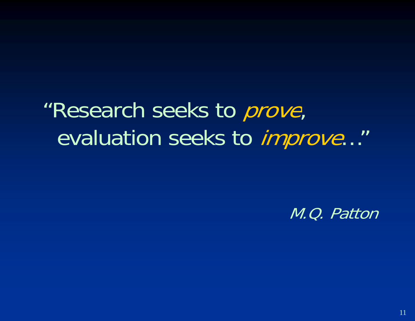"Research seeks to *prove*, evaluation seeks to improve…"

M.Q. Patton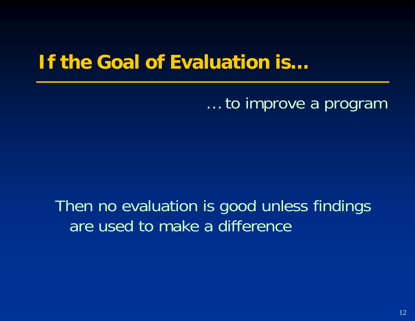### **If the Goal of Evaluation is…**

… to improve a program

Then no evaluation is good unless findings are used to make a difference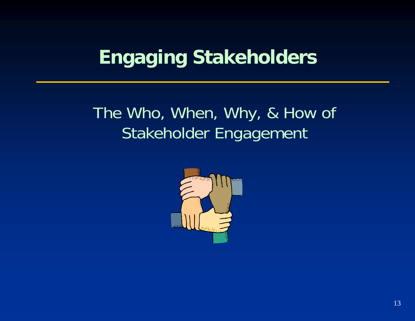# **Engaging Stakeholders**

### The Who, When, Why, & How of Stakeholder Engagement

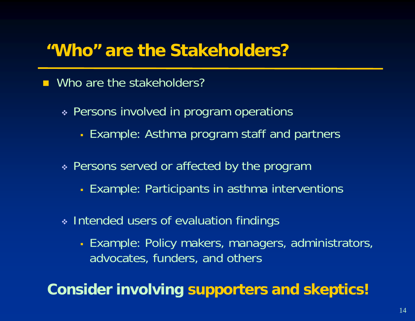#### **"Who" are the Stakeholders?**

#### ■ Who are the stakeholders?

- Persons involved in program operations
	- Example: Asthma program staff and partners
- Persons served or affected by the program
	- Example: Participants in asthma interventions
- \* Intended users of evaluation findings
	- **Example: Policy makers, managers, administrators, incontrators, and incontrators, and a** advocates, funders, and others

**Consider involvin g supporters and skeptics!**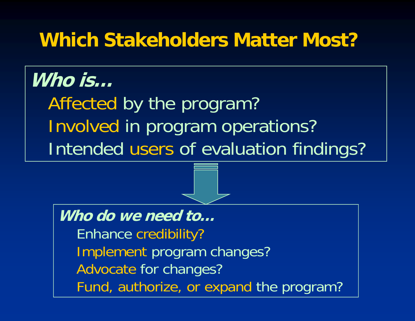### **Which Stakeholders Matter Most?**

### **Who is…**

Affected by the program? Involved in program operations? Intended users of evaluation findings?

**Who do we need to…**Enhance credibilit y ? Implement program changes? Advocate for changes? Fund, authorize, or expand the program?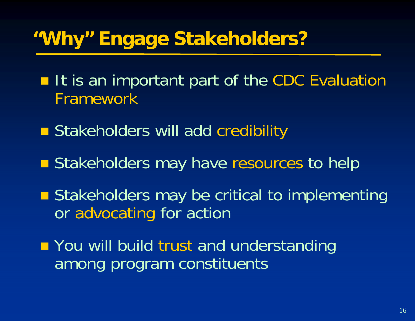# **"Why" Engage Stakeholders?**

- **If is an important part of the CDC Evaluation** Framework
- **Stakeholders will add credibility**
- **Stakeholders may have resources to help**
- **Stakeholders may be critical to implementing** or advocating for action
- **T** You will build trust and understanding among program constituents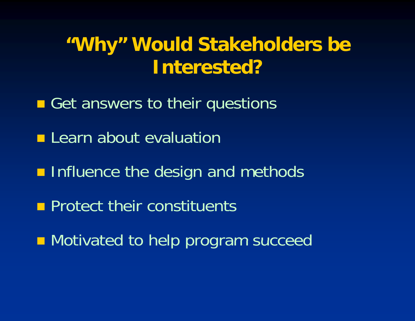# "Why" Would Stakeholders be **Interested?**

- Get answers to their questions
- **Learn about evaluation**
- **n** Influence the design and methods
- **Protect their constituents**
- **Notivated to help program succeed**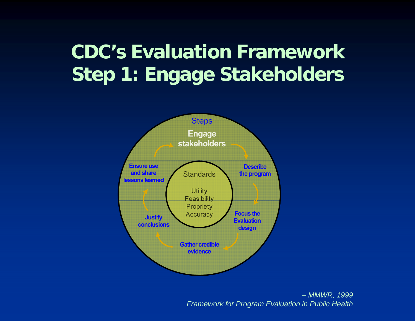# **CDC's Evaluation FrameworkStep 1: Engage Stakeholders**



– *MMWR, 1999 Framework for Program Evaluation in Public Health*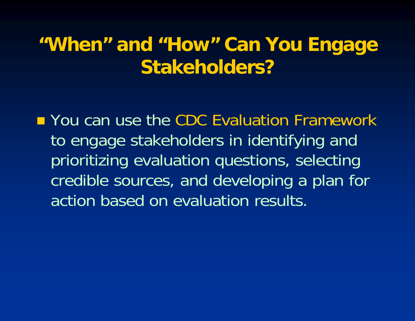### **"Wh " d "H " C Y E "When " an "How Can You Engage Stakeholders?**

**Nou can use the CDC Evaluation Framework** to engage stakeholders in identifying and prioritizing evaluation questions, selecting credible sources, and developing a plan for action based on evaluation results.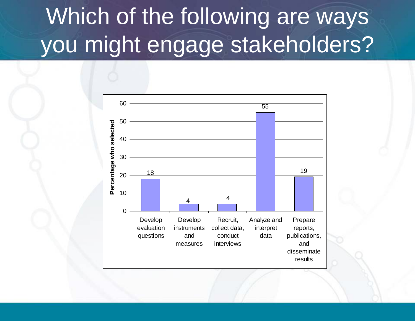#### Which of the following are ways you might engage stakeholders? takeholders

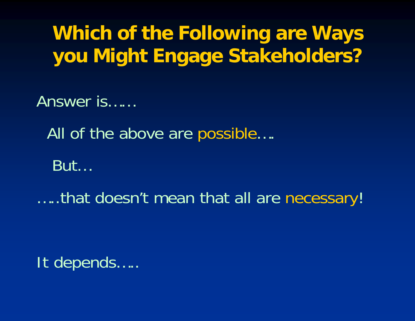# **Which of the Following are Ways you Might Engage Stakeholders?**

Answer is……

All of the above are possible….

But...

…..that doesn't mean that all are necessary!

It depends…..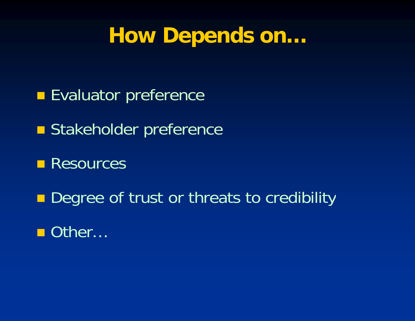# **How Depends on…**

- **Evaluator preference**
- **Stakeholder preference**
- **Resources**
- $\blacksquare$ Degree of trust or threats to credibility
- Other…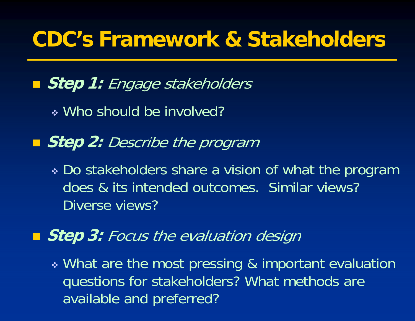# **CDC s' Framework & Stakeholders Stakeholders**

**Step 1:** Engage stakeholders

Who should be involved?

■ *Step 2: Describe the program* 

 Do stakeholders share a vision of what the program does & its intended outcomes. Similar views? Diverse views?

**Step 3:** Focus the evaluation design

 What are the most pressing & important evaluation questions for stakeholders? What methods are available and preferred?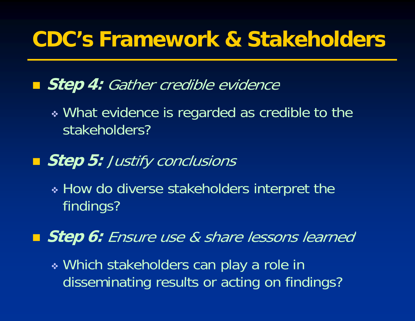# **CDC s' Framework & Stakeholders Stakeholders**

**Biep 4:** Gather credible evidence

 What evidence is regarded as credible to the stakeholders?

#### **Step 5:** Justify conclusions

 How do diverse stakeholders interpret the findings?

**Step 6:** Ensure use & share lessons learned

 Which stakeholders can play a role in disseminating results or acting on findings?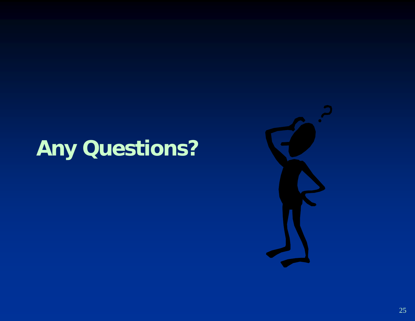# **Any Questions?**

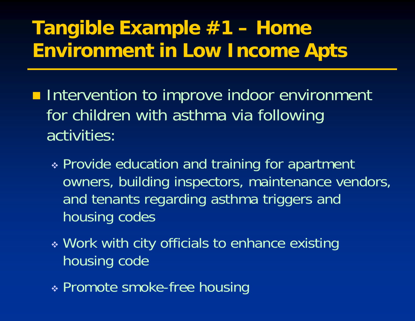# **Tangible Example #1 – Home Environment in Low Income Apts**

- **Intervention to improve indoor environment** for children with asthma via following activities:
	- \* Provide education and training for apartment owners, building inspectors, maintenance vendors, and tenants regarding asthma triggers and housing codes
	- \* Work with city officials to enhance existing housing code
	- Promote smoke-free housin g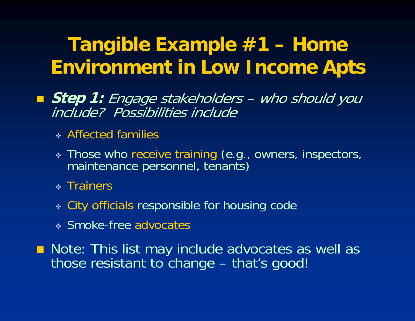- **Step 1:** Engage stakeholders who should you include? Possibilities include
	- Affected families
	- \* Those who receive training (e.g., owners, inspectors,<br>maintenance personnel, tenants)
	- \* Trainers
	- City officials responsible for housing code
	- Smoke-free advocates

**Note: This list may include advocates as well as** those resistant to change – that's good!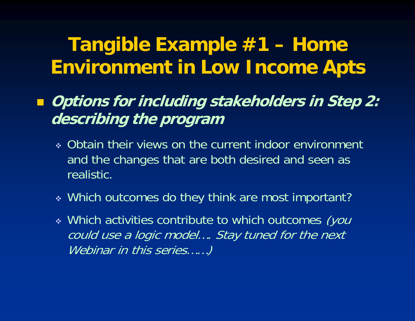- **Options for including stakeholders in Step 2: describing the program**
	- Obtain their views on the current indoor environment and the changes that are both desired and seen as realistic.
	- Which outcomes do they think are most important?
	- Which activities contribute to which outcomes (you could use a logic model.... Stay tuned for the next Webinar in this series......)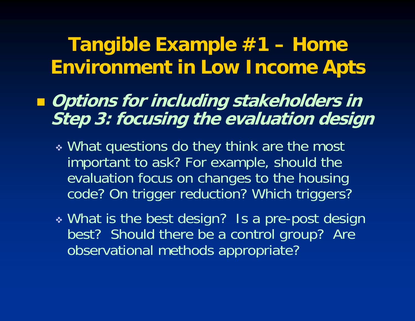- **Options for including stakeholders in Step 3: focusing the evaluation design**
	- What questions do they think are the most important to ask? For example, should the evaluation focus on changes to the housing code? On trigger reduction? Which triggers?
	- What is the best design? Is a pre-post design best? Should there be a control group? Are observational methods appropriate?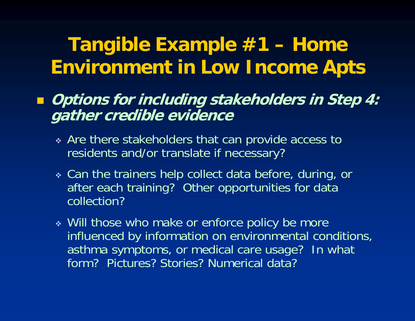#### **Options for including stakeholders in Step 4: gather credible evidence**

- Are there stakeholders that can provide access to residents and/or translate if necessary?
- Can the trainers help collect data before, during, or after each training? Other opportunities for data collection?
- Will those who make or enforce policy be more influenced by information on environmental conditions, asthma symptoms, or medical care usage? In what form? Pictures? Stories? Numerical data?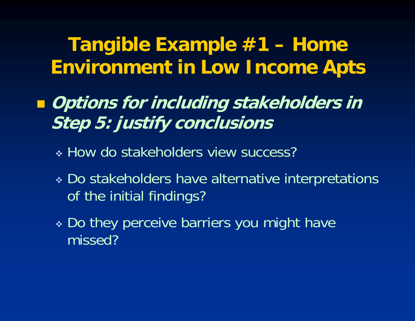- **Options for including stakeholders in Step 5: justify conclusions**
	- \* How do stakeholders view success?
	- Do stakeholders have alternative interpretations of the initial findings?
	- Do they perceive barriers you might have missed?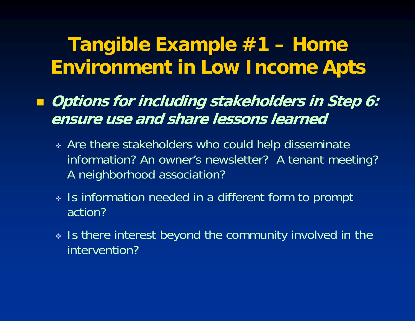- **Options for including stakeholders in Step 6: ensure use and share lessons learned**
	- Are there stakeholders who could help disseminate information? An owner's newsletter? A tenant meeting? A neighborhood association?
	- Is information needed in <sup>a</sup> different form to prompt action?
	- $\bm{\ast}$  Is there interest beyond the community involved in the intervention?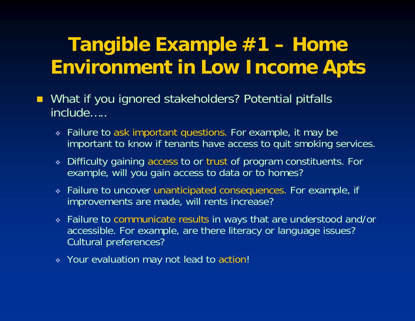- $\blacksquare$  What if you ignored stakeholders? Potential pitfalls include…..
	- Failure to ask important questions. For example, it may be important to know if tenants have access to quit smoking services.
	- Difficulty gaining access to or trust of program constituents. For example, will you gain access to data or to homes?
	- Failure to uncover unanticipated consequences. For example, if improvements are made, will rents increase?
	- $\frac{1}{2}$  Failure to communicate results in ways that are understood and/or accessible. For example, are there literacy or language issues? Cultural preferences?
	- \* Your evaluation may not lead to action!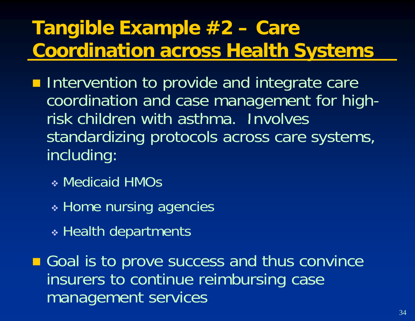# **Tangible Example #2 – Care Coordination across Health Systems**

**Intervention to provide and integrate care** coordination and case management for highrisk children with asthma. Involves standardizing protocols across care systems, including:

- Medicaid HMOs
- \* Home nursing agencies
- \* Health departments

Goal is to prove success and thus convince insurers to continue reimbursing case management services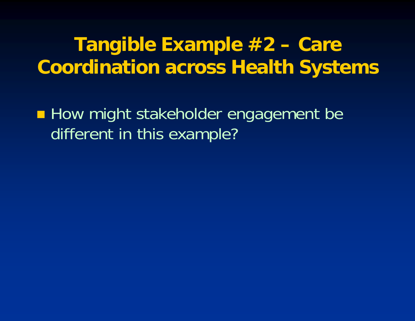#### **T ibl E l #2 Tangible Examp le Care Coordination across Health Systems**

**E** How might stakeholder engagement be different in this example?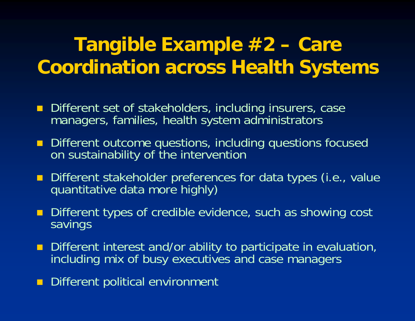#### **T ibl E l #2 Tangible Examp le Care Coordination across Health Systems**

- **Different set of stakeholders, including insurers, case** managers, families, health system administrators
- **Different outcome questions, including questions focused** on sustainabilit y of the intervention
- Different stakeholder preferences for data types (i.e., value quantitative data more highly)
- **Different types of credible evidence, such as showing cost** savings
- Different interest and/or ability to participate in evaluation, including mix of busy executives and case managers
- $\blacksquare$ Different political environment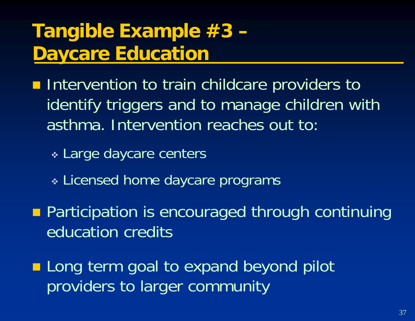# **Tangible Example #3 – Daycare Education**

**Intervention to train childcare providers to** identify triggers and to manage children with asthma. Intervention reaches out to:

\* Large daycare centers

Licensed home daycare programs

**Participation is encouraged through continuing** education credits

**Long term goal to expand beyond pilot** providers to larger community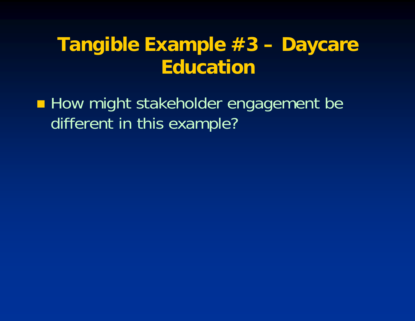#### **T ibl E l #3 Tangible Examp le Daycare Education**

**How might stakeholder engagement be** different in this example?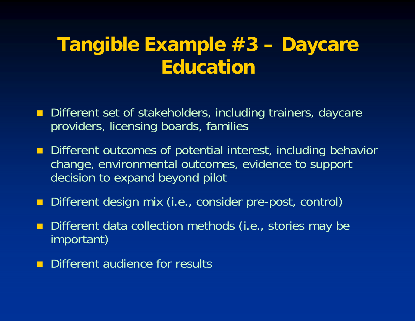#### **T ibl E l #3 Tangible Examp le Daycare Education**

- $\blacksquare$  Different set of stakeholders, including trainers, daycare providers, licensing boards, families
- **Different outcomes of potential interest, including behavior** change, environmental outcomes, evidence to support decision to expand beyond pilot
- п Different design mix (i.e., consider pre-post, control)
- П Different data collection methods (i.e., stories may be important)
- $\blacksquare$ Different audience for results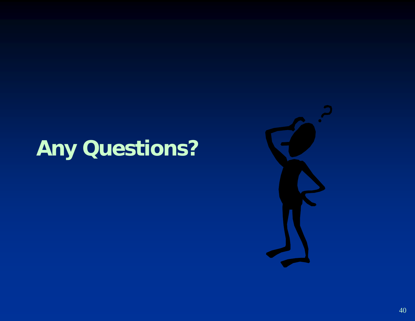# **Any Questions?**

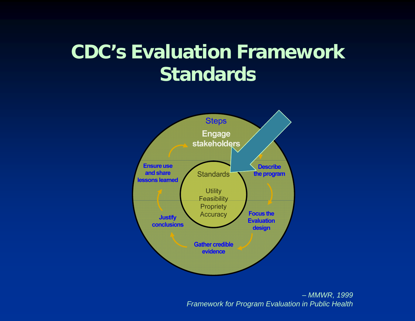# **CDC's Evaluation Framework Standards**



– *MMWR, 1999 Framework for Program Evaluation in Public Health*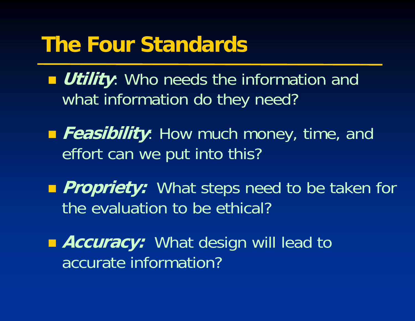# **The Four Standards**

**Dutility:** Who needs the information and what information do they need?

- **Feasibility**: How much money, time, and effort can we put into this?
- **Propriety:** What steps need to be taken for the evaluation to be ethical?

**Accuracy:** What design will lead to accurate information?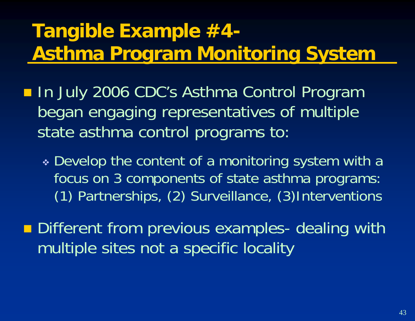# **Tangible Example #4-Asthma Program Monitoring System**

- In July 2006 CDC's Asthma Control Program began engaging representatives of multiple state asthma control programs to:
	- $\bm{\ast}$  Develop the content of a monitoring system with a focus on 3 components of state asthma programs: (1) Partnerships, (2) Surveillance, (3)Interventions
- **Different from previous examples- dealing with** multiple sites not a specific locality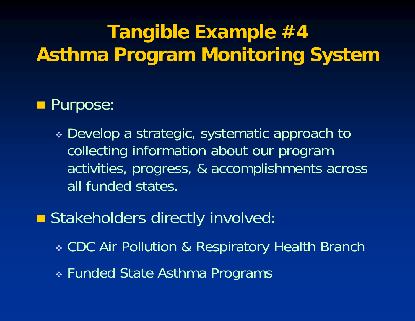# **Tangible Example #4 Asthma Program Monitoring System**

#### **Purpose:**

 Develop a strategic, systematic approach to collecting information about our program activities, progress, & accomplishments across all funded states.

**Stakeholders directly involved:** 

- \* CDC Air Pollution & Respiratory Health Branch
- Funded State Asthma Programs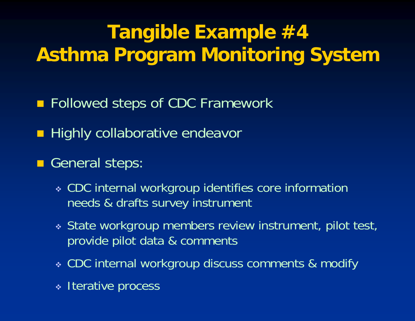# **Tangible Example #4 Asthma Program Monitoring System**

- **Followed steps of CDC Framework**
- **Highly collaborative endeavor**
- General steps:
	- CDC internal workgroup identifies core information needs & drafts survey instrument
	- State workgroup members review instrument, pilot test, provide pilot data & comments
	- CDC internal workgroup discuss comments & modify
	- Iterative process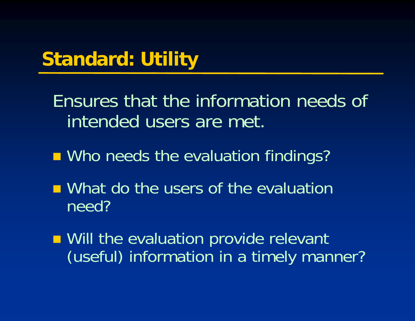# **Standard: Utility**

Ensures that the information needs of intended users are met.

- **No needs the evaluation findings?**
- **Nhat do the users of the evaluation** need?
- **Nill the evaluation provide relevant** (useful) information in a timely manner?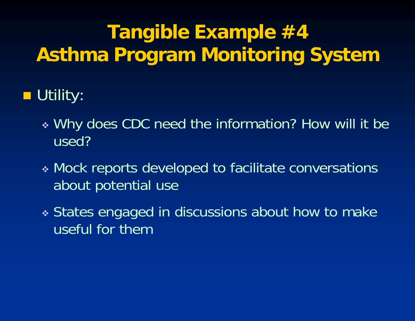# **Tang p ible Example #4 Asthma Program Monitoring System**

# Utility:

- Why does CDC need the information? How will it be used?
- Mock reports developed to facilitate conversations about potential use
- States engaged in discussions about how to make useful for them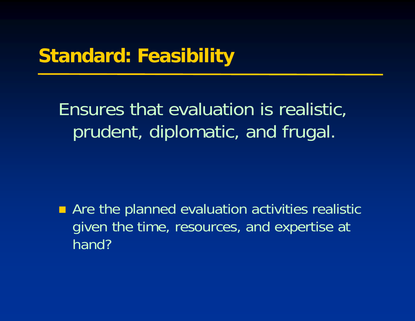### **Standard: Feasibility**

Ensures that evaluation is realistic, prudent, diplomatic, and frugal.

 $\blacksquare$ Are the planned evaluation activities realistic given the time, resources, and expertise at hand?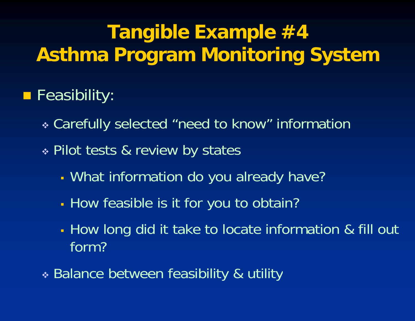# **Tangible Example #4 Asthma Program Monitoring System**

### **Feasibility:**

- \* Carefully selected "need to know" information
- Pilot tests & review by states
	- What information do you already have?
	- I How feasible is it for you to obtain?
	- L. How long did it take to locate information & fill out form?
- \* Balance between feasibility & utility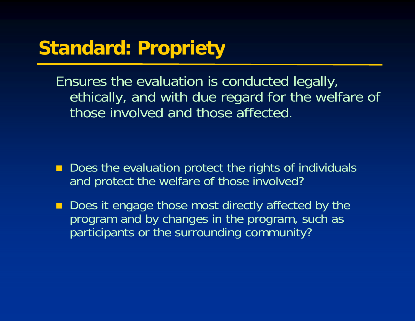## **Standard: Propriet y**

Ensures the evaluation is conducted legally, ethically, and with due regard for the welfare of those involved and those affected.

- Does the evaluation protect the rights of individuals and protect the welfare of those involved?
- $\blacksquare$ ■ Does it engage those most directly affected by the program and by changes in the program, such as participants or the surrounding community?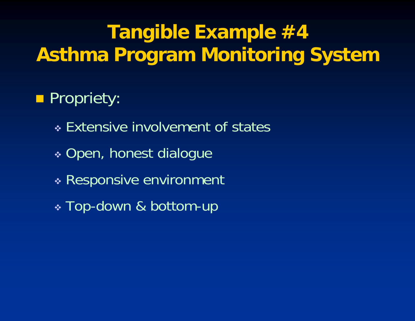# **Tang p ible Example #4 Asthma Program Monitoring System**

# **Propriety:**

- Extensive involvement of states
- \* Open, honest dialogue
- Responsive environment
- $\bm{\cdot}$  Top-down & bottom-up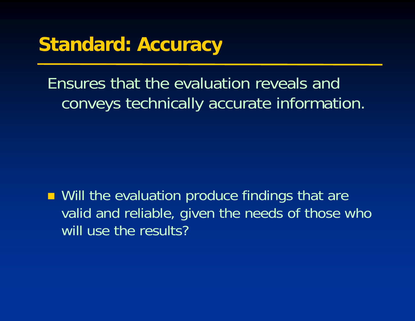### **St d d A Standard: Accuracy**

Ensures that the evaluation reveals and conveys technically accurate information.

**Nill the evaluation produce findings that are** valid and reliable, given the needs of those who will use the results?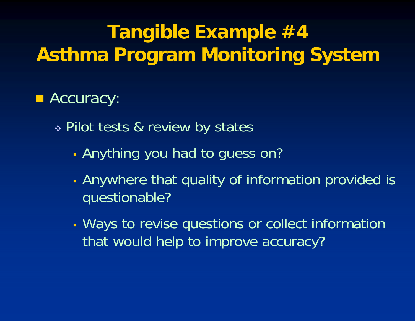# **Tangible Example #4 Asthma Program Monitoring System**

### **E** Accuracy:

Pilot tests & review by states

- Г - Anything you had to guess on?
- Anywhere that quality of information provided is questionable?
- Ways to revise questions or collect information that would help to improve accuracy?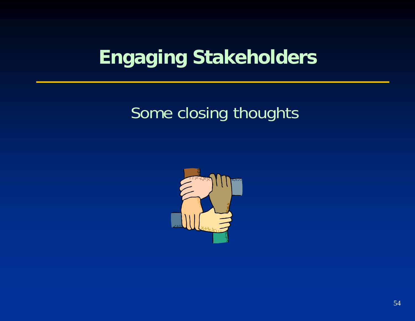# **Engaging Stakeholders**

### Some closing thoughts

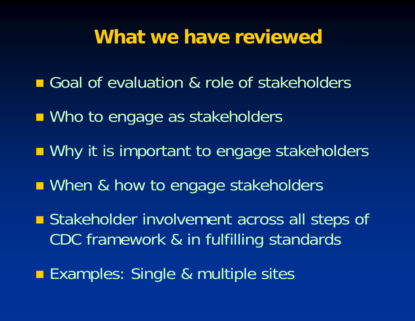#### **What we have reviewed**

- Goal of evaluation & role of stakeholders
- **Nho to engage as stakeholders**
- **Nituber 10 Insurant Transform Constructs n**
- **Nhen & how to engage stakeholders**
- **Stakeholder involvement across all steps of** CDC framework & in fulfilling standards
- **Examples: Single & multiple sites**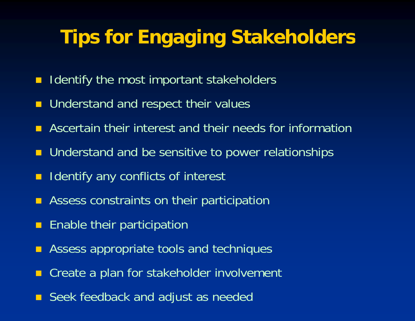# **Tips for Engaging Stakeholders**

- **If Identify the most important stakeholders**
- **Understand and respect their values**
- П Ascertain their interest and their needs for information
- **Understand and be sensitive to power relationships**
- $\blacksquare$ Identify any conflicts of interest
- $\blacksquare$ Assess constraints on their participation
- $\blacksquare$ Enable their participation
- П Assess appropriate tools and techniques
- $\blacksquare$ Create a plan for stakeholder involvement
- Seek feedback and adjust as needed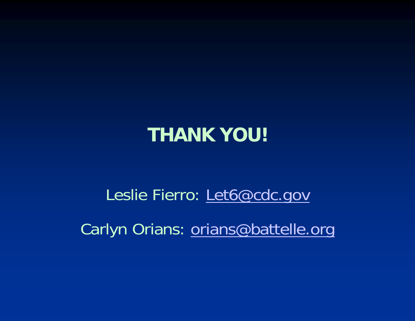### **THANK YOU!**

Leslie Fierro: <u>Let6@cdc.gov</u> Carlyn Orians: orians@battelle.org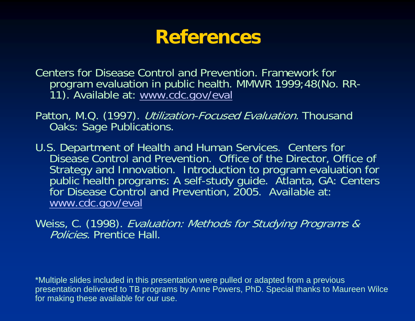#### **References**

Centers for Disease Control and Prevention. Framework for program evaluation in public health. MMWR 1999;48(No. RR-<br>11). Available at: www.cdc.gov/eval

Patton, M.Q. (1997). *Utilization-Focused Evaluation*. Thousand Oaks: Sage Publications.

U.S. Department of Health and Human Services. Centers for Disease Control and Prevention. Office of the Director, Office of Strategy and Innovation. Introduction to program evaluation for public health programs: A self-study guide. Atlanta, GA: Centers for Disease Control and Prevention, 2005. Available at: www cdc gov/eval www.cdc.gov/eval

Weiss, C. (1998). Evaluation: Methods for Studying Programs & Policies. Prentice Hall.

\*Multiple slides included in this presentation were pulled or adapted from a previous presentation delivered to TB programs by Anne Powers, PhD. Special thanks to Maureen Wilce for making these available for our use.